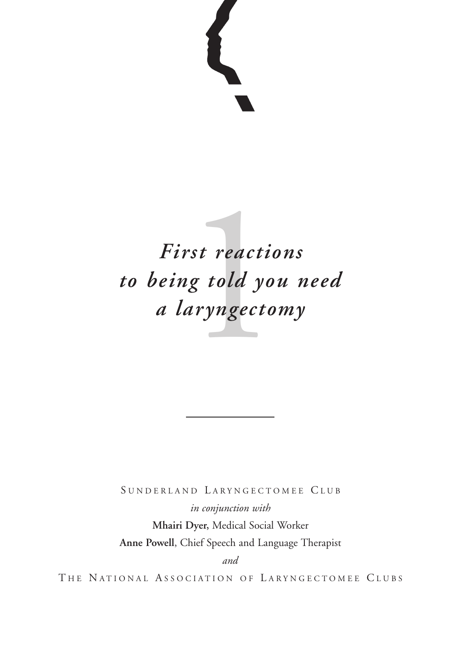# rst reactio<br>1g told you<br>|aryngecto:<br>| *First reactions to being told you need a laryngectomy*

SUNDERLAND LARYNGECTOMEE CLUB

*in conjunction with* **Mhairi Dyer,** Medical Social Worker **Anne Powell**, Chief Speech and Language Therapist

*and*

THE NATIONAL ASSOCIATION OF LARYNGECTOMEE CLUBS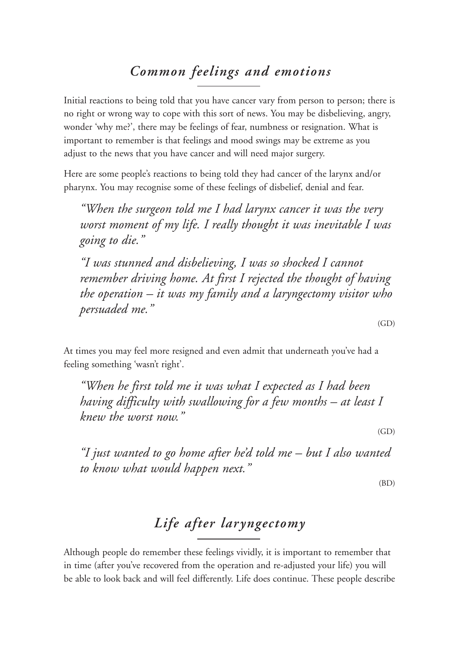## *Common feelings and emotions*

Initial reactions to being told that you have cancer vary from person to person; there is no right or wrong way to cope with this sort of news. You may be disbelieving, angry, wonder 'why me?', there may be feelings of fear, numbness or resignation. What is important to remember is that feelings and mood swings may be extreme as you adjust to the news that you have cancer and will need major surgery.

Here are some people's reactions to being told they had cancer of the larynx and/or pharynx. You may recognise some of these feelings of disbelief, denial and fear.

*"When the surgeon told me I had larynx cancer it was the very worst moment of my life. I really thought it was inevitable I was going to die."*

*"I was stunned and disbelieving, I was so shocked I cannot remember driving home. At first I rejected the thought of having the operation – it was my family and a laryngectomy visitor who persuaded me."*

 $(GD)$ 

At times you may feel more resigned and even admit that underneath you've had a feeling something 'wasn't right'.

*"When he first told me it was what I expected as I had been having difficulty with swallowing for a few months – at least I knew the worst now."*

(GD)

*"I just wanted to go home after he'd told me – but I also wanted to know what would happen next."*

(BD)

## *Life after laryngectomy*

Although people do remember these feelings vividly, it is important to remember that in time (after you've recovered from the operation and re-adjusted your life) you will be able to look back and will feel differently. Life does continue. These people describe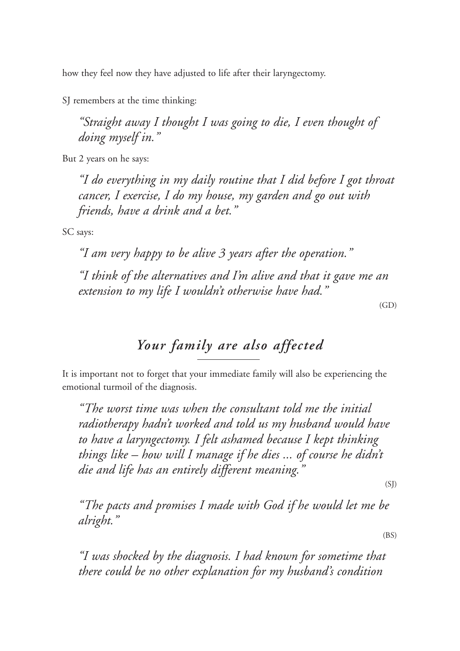how they feel now they have adjusted to life after their laryngectomy.

SJ remembers at the time thinking:

*"Straight away I thought I was going to die, I even thought of doing myself in."*

But 2 years on he says:

*"I do everything in my daily routine that I did before I got throat cancer, I exercise, I do my house, my garden and go out with friends, have a drink and a bet."*

SC says:

*"I am very happy to be alive 3 years after the operation." "I think of the alternatives and I'm alive and that it gave me an extension to my life I wouldn't otherwise have had."*

(GD)

### *Your family are also affected*

It is important not to forget that your immediate family will also be experiencing the emotional turmoil of the diagnosis.

*"The worst time was when the consultant told me the initial radiotherapy hadn't worked and told us my husband would have to have a laryngectomy. I felt ashamed because I kept thinking things like – how will I manage if he dies ... of course he didn't die and life has an entirely different meaning."*

 $(SI)$ 

*"The pacts and promises I made with God if he would let me be alright."*

(BS)

*"I was shocked by the diagnosis. I had known for sometime that there could be no other explanation for my husband's condition*